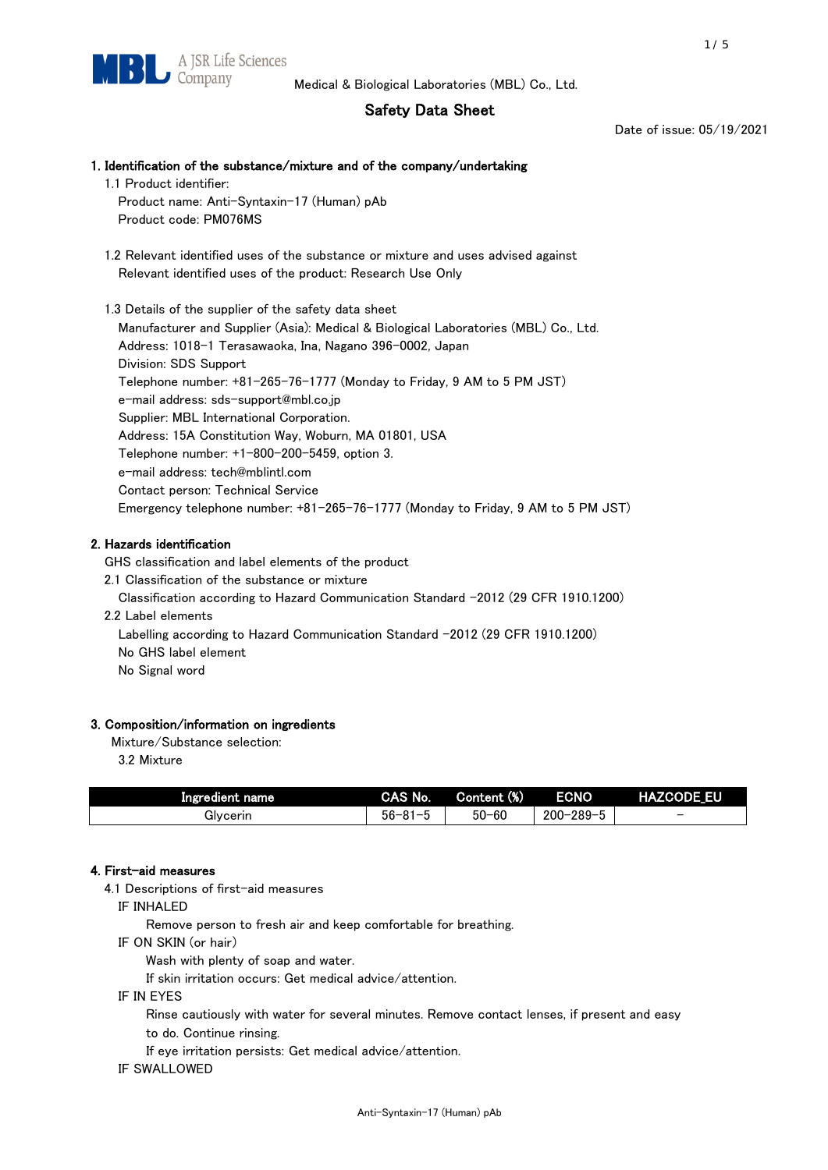# Safety Data Sheet

Date of issue: 05/19/2021

# 1. Identification of the substance/mixture and of the company/undertaking 1.1 Product identifier: Product name: Anti-Syntaxin-17 (Human) pAb Product code: PM076MS 1.2 Relevant identified uses of the substance or mixture and uses advised against Relevant identified uses of the product: Research Use Only 1.3 Details of the supplier of the safety data sheet Manufacturer and Supplier (Asia): Medical & Biological Laboratories (MBL) Co., Ltd. Address: 1018-1 Terasawaoka, Ina, Nagano 396-0002, Japan

Division: SDS Support Telephone number: +81-265-76-1777 (Monday to Friday, 9 AM to 5 PM JST) e-mail address: sds-support@mbl.co.jp Supplier: MBL International Corporation. Address: 15A Constitution Way, Woburn, MA 01801, USA Telephone number: +1-800-200-5459, option 3. e-mail address: tech@mblintl.com Contact person: Technical Service Emergency telephone number: +81-265-76-1777 (Monday to Friday, 9 AM to 5 PM JST)

# 2. Hazards identification

GHS classification and label elements of the product

2.1 Classification of the substance or mixture

Classification according to Hazard Communication Standard -2012 (29 CFR 1910.1200)

2.2 Label elements

Labelling according to Hazard Communication Standard -2012 (29 CFR 1910.1200) No GHS label element

No Signal word

## 3. Composition/information on ingredients

Mixture/Substance selection:

3.2 Mixture

| Ingredient name | CAS No.             | Content (%) | <b>ECNO</b>                                              | <b>HAZCODE_EU</b>        |
|-----------------|---------------------|-------------|----------------------------------------------------------|--------------------------|
| Glvcerin        | $56 - 81 -$<br>ິບ ເ | $50 - 60$   | $-289 - 1$<br>$200 - 2$<br>$\overline{\phantom{0}}$<br>v | $\overline{\phantom{0}}$ |

## 4. First-aid measures

4.1 Descriptions of first-aid measures

IF INHALED

Remove person to fresh air and keep comfortable for breathing.

IF ON SKIN (or hair)

Wash with plenty of soap and water.

If skin irritation occurs: Get medical advice/attention.

IF IN EYES

Rinse cautiously with water for several minutes. Remove contact lenses, if present and easy

to do. Continue rinsing.

If eye irritation persists: Get medical advice/attention.

IF SWALLOWED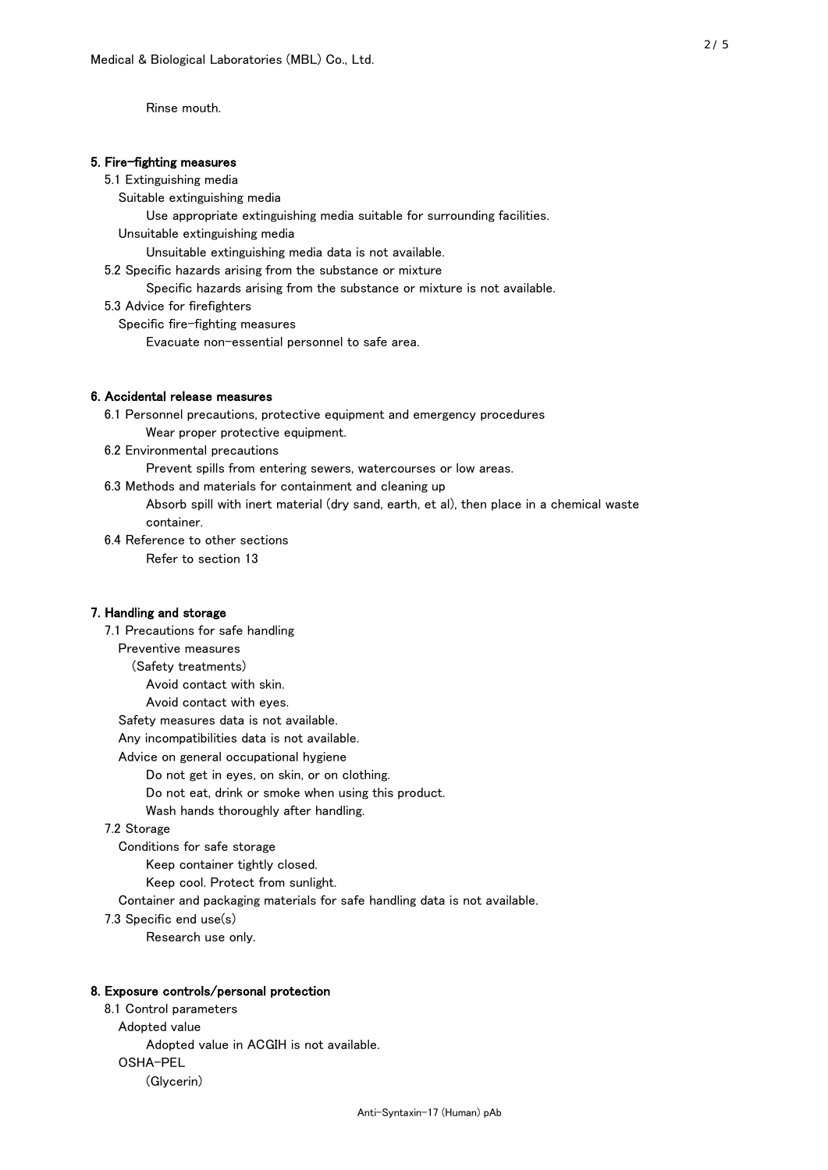Rinse mouth.

### 5. Fire-fighting measures

#### 5.1 Extinguishing media

Suitable extinguishing media

- Use appropriate extinguishing media suitable for surrounding facilities.
- Unsuitable extinguishing media

Unsuitable extinguishing media data is not available.

5.2 Specific hazards arising from the substance or mixture

Specific hazards arising from the substance or mixture is not available.

5.3 Advice for firefighters

Specific fire-fighting measures

Evacuate non-essential personnel to safe area.

#### 6. Accidental release measures

- 6.1 Personnel precautions, protective equipment and emergency procedures Wear proper protective equipment.
- 6.2 Environmental precautions

Prevent spills from entering sewers, watercourses or low areas.

6.3 Methods and materials for containment and cleaning up

- Absorb spill with inert material (dry sand, earth, et al), then place in a chemical waste container.
- 6.4 Reference to other sections

Refer to section 13

### 7. Handling and storage

 7.1 Precautions for safe handling Preventive measures (Safety treatments) Avoid contact with skin. Avoid contact with eyes. Safety measures data is not available. Any incompatibilities data is not available. Advice on general occupational hygiene Do not get in eyes, on skin, or on clothing. Do not eat, drink or smoke when using this product. Wash hands thoroughly after handling. 7.2 Storage Conditions for safe storage Keep container tightly closed.

Keep cool. Protect from sunlight.

Container and packaging materials for safe handling data is not available.

7.3 Specific end use(s)

Research use only.

#### 8. Exposure controls/personal protection

 8.1 Control parameters Adopted value Adopted value in ACGIH is not available. OSHA-PEL (Glycerin)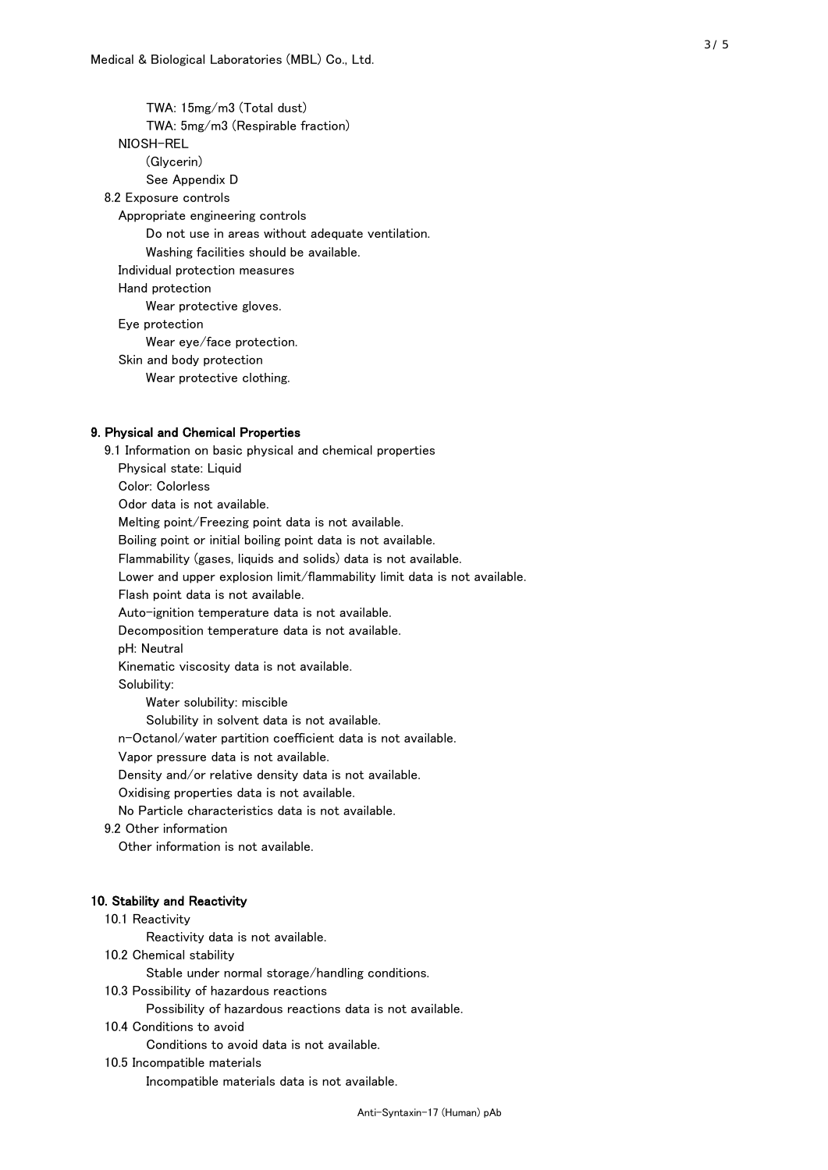TWA: 15mg/m3 (Total dust) TWA: 5mg/m3 (Respirable fraction) NIOSH-REL (Glycerin) See Appendix D 8.2 Exposure controls Appropriate engineering controls Do not use in areas without adequate ventilation. Washing facilities should be available. Individual protection measures Hand protection Wear protective gloves. Eye protection Wear eye/face protection. Skin and body protection Wear protective clothing.

## 9. Physical and Chemical Properties

 9.1 Information on basic physical and chemical properties Physical state: Liquid Color: Colorless Odor data is not available. Melting point/Freezing point data is not available. Boiling point or initial boiling point data is not available. Flammability (gases, liquids and solids) data is not available. Lower and upper explosion limit/flammability limit data is not available. Flash point data is not available. Auto-ignition temperature data is not available. Decomposition temperature data is not available. pH: Neutral Kinematic viscosity data is not available. Solubility: Water solubility: miscible Solubility in solvent data is not available. n-Octanol/water partition coefficient data is not available. Vapor pressure data is not available. Density and/or relative density data is not available. Oxidising properties data is not available. No Particle characteristics data is not available. 9.2 Other information Other information is not available. 10. Stability and Reactivity 10.1 Reactivity Reactivity data is not available. 10.2 Chemical stability Stable under normal storage/handling conditions. 10.3 Possibility of hazardous reactions

Possibility of hazardous reactions data is not available.

## 10.4 Conditions to avoid

Conditions to avoid data is not available.

#### 10.5 Incompatible materials

Incompatible materials data is not available.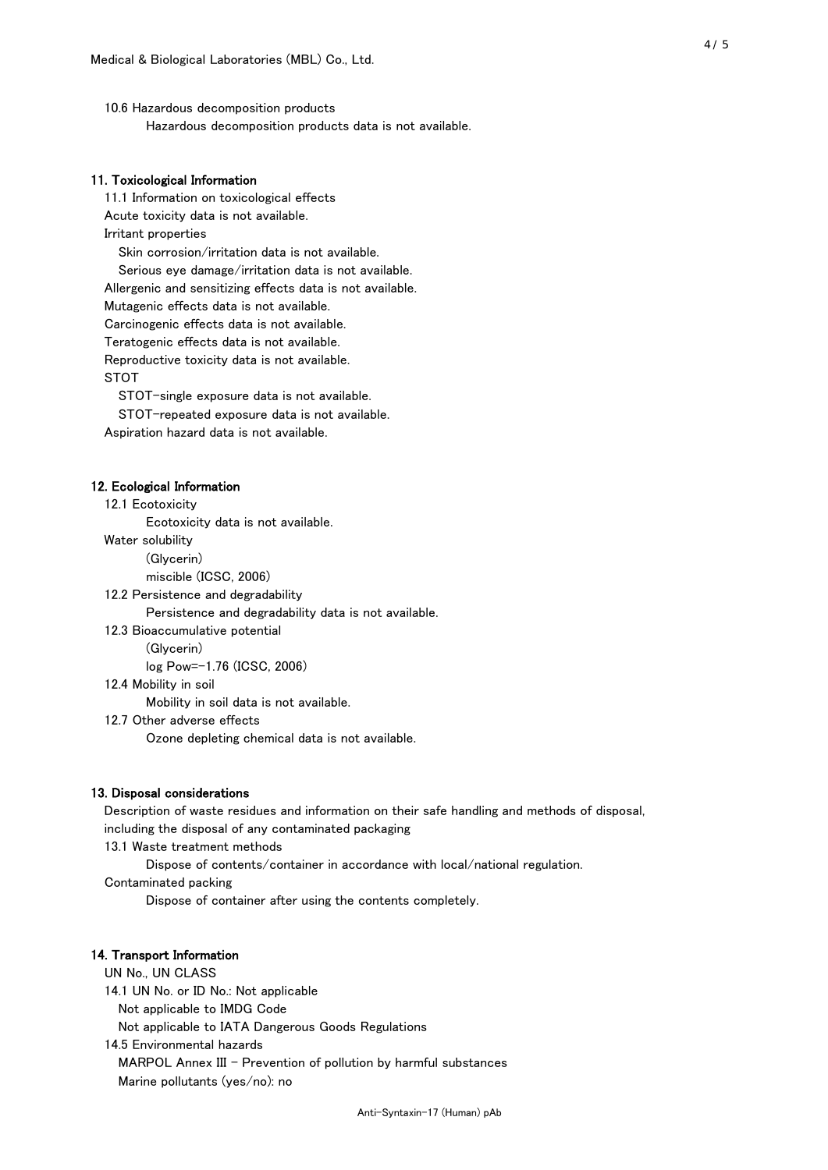10.6 Hazardous decomposition products Hazardous decomposition products data is not available.

## 11. Toxicological Information

 11.1 Information on toxicological effects Acute toxicity data is not available. Irritant properties Skin corrosion/irritation data is not available. Serious eye damage/irritation data is not available. Allergenic and sensitizing effects data is not available. Mutagenic effects data is not available. Carcinogenic effects data is not available. Teratogenic effects data is not available. Reproductive toxicity data is not available. STOT

STOT-single exposure data is not available.

STOT-repeated exposure data is not available.

Aspiration hazard data is not available.

#### 12. Ecological Information

12.1 Ecotoxicity

Ecotoxicity data is not available.

Water solubility

(Glycerin)

miscible (ICSC, 2006)

12.2 Persistence and degradability

Persistence and degradability data is not available.

12.3 Bioaccumulative potential

(Glycerin)

log Pow=-1.76 (ICSC, 2006)

12.4 Mobility in soil

Mobility in soil data is not available.

12.7 Other adverse effects

Ozone depleting chemical data is not available.

#### 13. Disposal considerations

 Description of waste residues and information on their safe handling and methods of disposal, including the disposal of any contaminated packaging

13.1 Waste treatment methods

Dispose of contents/container in accordance with local/national regulation.

Contaminated packing

Dispose of container after using the contents completely.

#### 14. Transport Information

 UN No., UN CLASS 14.1 UN No. or ID No.: Not applicable Not applicable to IMDG Code Not applicable to IATA Dangerous Goods Regulations

 14.5 Environmental hazards MARPOL Annex III - Prevention of pollution by harmful substances Marine pollutants (yes/no): no